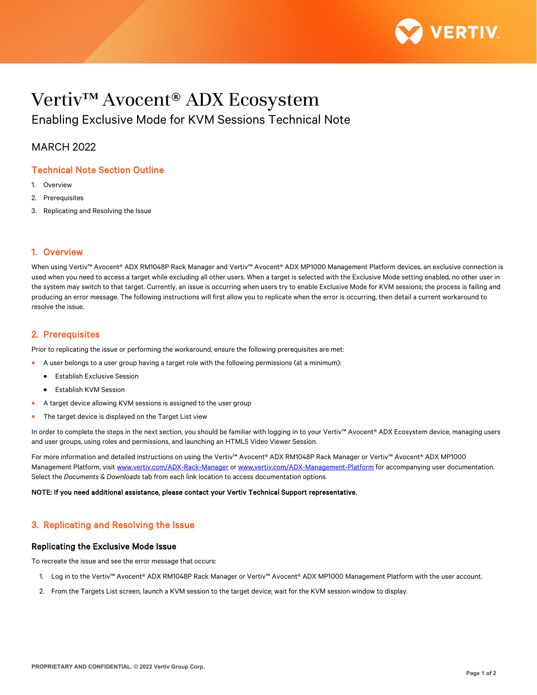

# Vertiv™ Avocent® ADX Ecosystem Enabling Exclusive Mode for KVM Sessions Technical Note

## MARCH 2022

## Technical Note Section Outline

- 1. Overview
- 2. Prerequisites
- 3. Replicating and Resolving the Issue

## 1. Overview

When using Vertiv™ Avocent® ADX RM1048P Rack Manager and Vertiv™ Avocent® ADX MP1000 Management Platform devices, an exclusive connection is used when you need to access a target while excluding all other users. When a target is selected with the Exclusive Mode setting enabled, no other user in the system may switch to that target. Currently, an issue is occurring when users try to enable Exclusive Mode for KVM sessions; the process is failing and producing an error message. The following instructions will first allow you to replicate when the error is occurring, then detail a current workaround to resolve the issue.

#### 2. Prerequisites

Prior to replicating the issue or performing the workaround, ensure the following prerequisites are met:

- A user belongs to a user group having a target role with the following permissions (at a minimum):
	- Establish Exclusive Session
	- Establish KVM Session
- A target device allowing KVM sessions is assigned to the user group
- The target device is displayed on the Target List view

In order to complete the steps in the next section, you should be familiar with logging in to your Vertiv™ Avocent® ADX Ecosystem device, managing users and user groups, using roles and permissions, and launching an HTML5 Video Viewer Session.

For more information and detailed instructions on using the Vertiv™ Avocent® ADX RM1048P Rack Manager or Vertiv™ Avocent® ADX MP1000 Management Platform, visit [www.vertiv.com/ADX-Rack-Manager](http://www.vertiv.com/ADX-Rack-Manager) or [www.vertiv.com/ADX-Management-Platform](http://www.vertiv.com/ADX-Management-Platform) for accompanying user documentation. Select the *Documents & Downloads* tab from each link location to access documentation options.

#### NOTE: If you need additional assistance, please contact your Vertiv Technical Support representative.

## 3. Replicating and Resolving the Issue

#### Replicating the Exclusive Mode Issue

To recreate the issue and see the error message that occurs:

- 1. Log in to the Vertiv™ Avocent® ADX RM1048P Rack Manager or Vertiv™ Avocent® ADX MP1000 Management Platform with the user account.
- 2. From the Targets List screen, launch a KVM session to the target device; wait for the KVM session window to display.